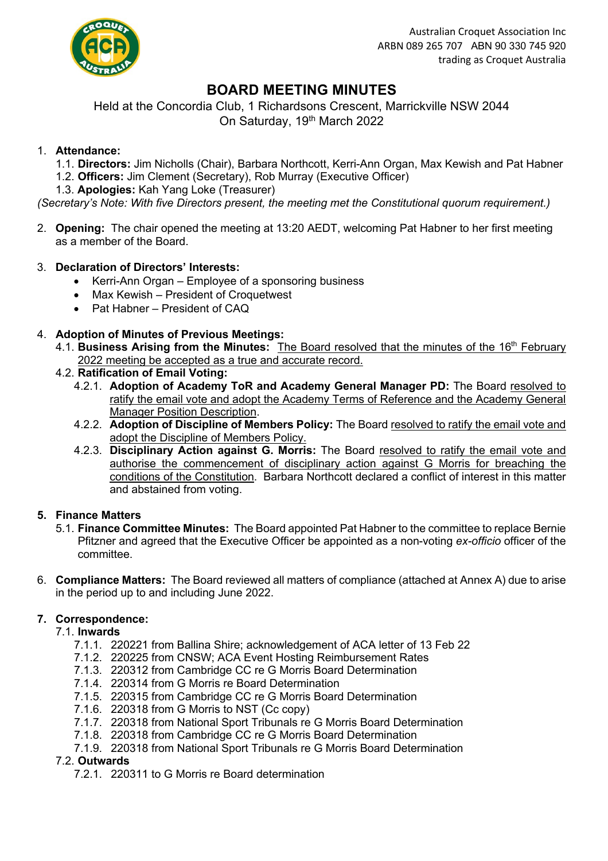

# **BOARD MEETING MINUTES**

Held at the Concordia Club, 1 Richardsons Crescent, Marrickville NSW 2044 On Saturday, 19<sup>th</sup> March 2022

## 1. **Attendance:**

- 1.1. **Directors:** Jim Nicholls (Chair), Barbara Northcott, Kerri-Ann Organ, Max Kewish and Pat Habner 1.2. **Officers:** Jim Clement (Secretary), Rob Murray (Executive Officer)
- 1.3. **Apologies:** Kah Yang Loke (Treasurer)

*(Secretary's Note: With five Directors present, the meeting met the Constitutional quorum requirement.)* 

2. **Opening:** The chair opened the meeting at 13:20 AEDT, welcoming Pat Habner to her first meeting as a member of the Board.

## 3. **Declaration of Directors' Interests:**

- Kerri-Ann Organ Employee of a sponsoring business
- Max Kewish President of Croquetwest
- Pat Habner President of CAQ

## 4. **Adoption of Minutes of Previous Meetings:**

- 4.1. **Business Arising from the Minutes:** The Board resolved that the minutes of the 16<sup>th</sup> February 2022 meeting be accepted as a true and accurate record.
- 4.2. **Ratification of Email Voting:**
	- 4.2.1. **Adoption of Academy ToR and Academy General Manager PD:** The Board resolved to ratify the email vote and adopt the Academy Terms of Reference and the Academy General Manager Position Description.
	- 4.2.2. **Adoption of Discipline of Members Policy:** The Board resolved to ratify the email vote and adopt the Discipline of Members Policy.
	- 4.2.3. **Disciplinary Action against G. Morris:** The Board resolved to ratify the email vote and authorise the commencement of disciplinary action against G Morris for breaching the conditions of the Constitution. Barbara Northcott declared a conflict of interest in this matter and abstained from voting.

## **5. Finance Matters**

- 5.1. **Finance Committee Minutes:** The Board appointed Pat Habner to the committee to replace Bernie Pfitzner and agreed that the Executive Officer be appointed as a non-voting *ex-officio* officer of the committee.
- 6. **Compliance Matters:** The Board reviewed all matters of compliance (attached at Annex A) due to arise in the period up to and including June 2022.

## **7. Correspondence:**

- 7.1. **Inwards**
	- 7.1.1. 220221 from Ballina Shire; acknowledgement of ACA letter of 13 Feb 22
	- 7.1.2. 220225 from CNSW; ACA Event Hosting Reimbursement Rates
	- 7.1.3. 220312 from Cambridge CC re G Morris Board Determination
	- 7.1.4. 220314 from G Morris re Board Determination
	- 7.1.5. 220315 from Cambridge CC re G Morris Board Determination
	- 7.1.6. 220318 from G Morris to NST (Cc copy)
	- 7.1.7. 220318 from National Sport Tribunals re G Morris Board Determination
	- 7.1.8. 220318 from Cambridge CC re G Morris Board Determination
	- 7.1.9. 220318 from National Sport Tribunals re G Morris Board Determination

## 7.2. **Outwards**

7.2.1. 220311 to G Morris re Board determination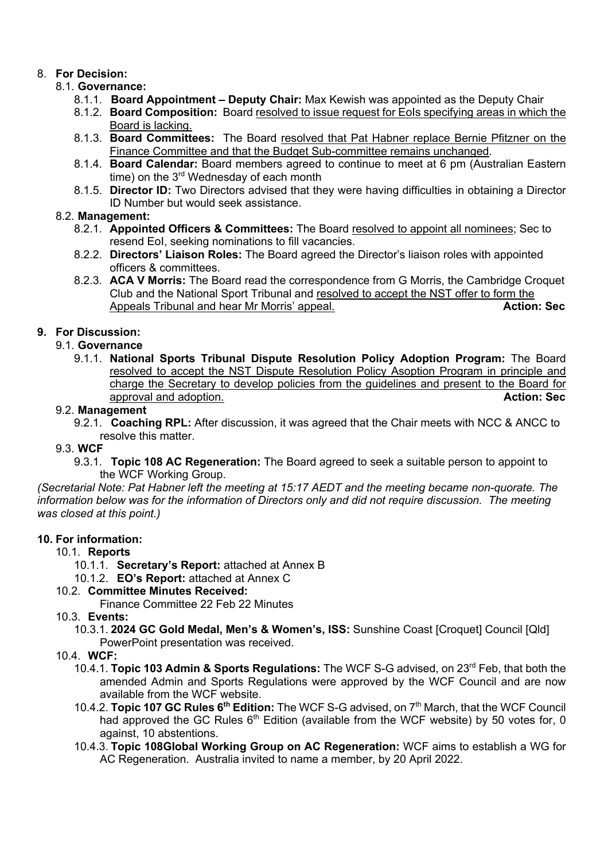# 8. **For Decision:**

# 8.1. **Governance:**

- 8.1.1. **Board Appointment – Deputy Chair:** Max Kewish was appointed as the Deputy Chair
- 8.1.2. **Board Composition:** Board resolved to issue request for EoIs specifying areas in which the Board is lacking.
- 8.1.3. **Board Committees:** The Board resolved that Pat Habner replace Bernie Pfitzner on the Finance Committee and that the Budget Sub-committee remains unchanged.
- 8.1.4. **Board Calendar:** Board members agreed to continue to meet at 6 pm (Australian Eastern time) on the 3<sup>rd</sup> Wednesday of each month
- 8.1.5. **Director ID:** Two Directors advised that they were having difficulties in obtaining a Director ID Number but would seek assistance.

## 8.2. **Management:**

- 8.2.1. **Appointed Officers & Committees:** The Board resolved to appoint all nominees; Sec to resend EoI, seeking nominations to fill vacancies.
- 8.2.2. **Directors' Liaison Roles:** The Board agreed the Director's liaison roles with appointed officers & committees.
- 8.2.3. **ACA V Morris:** The Board read the correspondence from G Morris, the Cambridge Croquet Club and the National Sport Tribunal and resolved to accept the NST offer to form the Appeals Tribunal and hear Mr Morris' appeal. **Action: Sec Action: Sec**

# **9. For Discussion:**

## 9.1. **Governance**

9.1.1. **National Sports Tribunal Dispute Resolution Policy Adoption Program:** The Board resolved to accept the NST Dispute Resolution Policy Asoption Program in principle and charge the Secretary to develop policies from the guidelines and present to the Board for approval and adoption. **Action: Sec**

## 9.2. **Management**

9.2.1. **Coaching RPL:** After discussion, it was agreed that the Chair meets with NCC & ANCC to resolve this matter.

## 9.3. **WCF**

9.3.1. **Topic 108 AC Regeneration:** The Board agreed to seek a suitable person to appoint to the WCF Working Group.

*(Secretarial Note: Pat Habner left the meeting at 15:17 AEDT and the meeting became non-quorate. The information below was for the information of Directors only and did not require discussion. The meeting was closed at this point.)*

### **10. For information:**

## 10.1. **Reports**

- 10.1.1. **Secretary's Report:** attached at Annex B
- 10.1.2. **EO's Report:** attached at Annex C

## 10.2. **Committee Minutes Received:**

Finance Committee 22 Feb 22 Minutes

## 10.3. **Events:**

10.3.1. **2024 GC Gold Medal, Men's & Women's, ISS:** Sunshine Coast [Croquet] Council [Qld] PowerPoint presentation was received.

## 10.4. **WCF:**

- 10.4.1. **Topic 103 Admin & Sports Regulations:** The WCF S-G advised, on 23rd Feb, that both the amended Admin and Sports Regulations were approved by the WCF Council and are now available from the WCF website.
- 10.4.2. **Topic 107 GC Rules 6th Edition:** The WCF S-G advised, on 7th March, that the WCF Council had approved the GC Rules  $6<sup>th</sup>$  Edition (available from the WCF website) by 50 votes for, 0 against, 10 abstentions.
- 10.4.3. **Topic 108Global Working Group on AC Regeneration:** WCF aims to establish a WG for AC Regeneration. Australia invited to name a member, by 20 April 2022.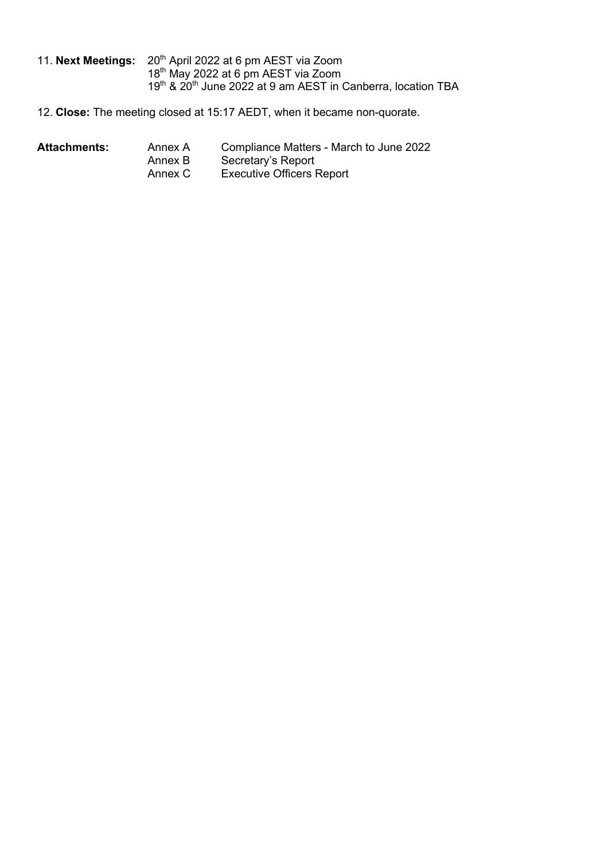- 11. Next Meetings: 20<sup>th</sup> April 2022 at 6 pm AEST via Zoom 18<sup>th</sup> May 2022 at 6 pm AEST via Zoom 19th & 20th June 2022 at 9 am AEST in Canberra, location TBA
- 12. **Close:** The meeting closed at 15:17 AEDT, when it became non-quorate.

- Attachments: Annex A Compliance Matters March to June 2022<br>Annex B Secretary's Report
	- Annex B Secretary's Report<br>Annex C Executive Officers F
	- **Executive Officers Report**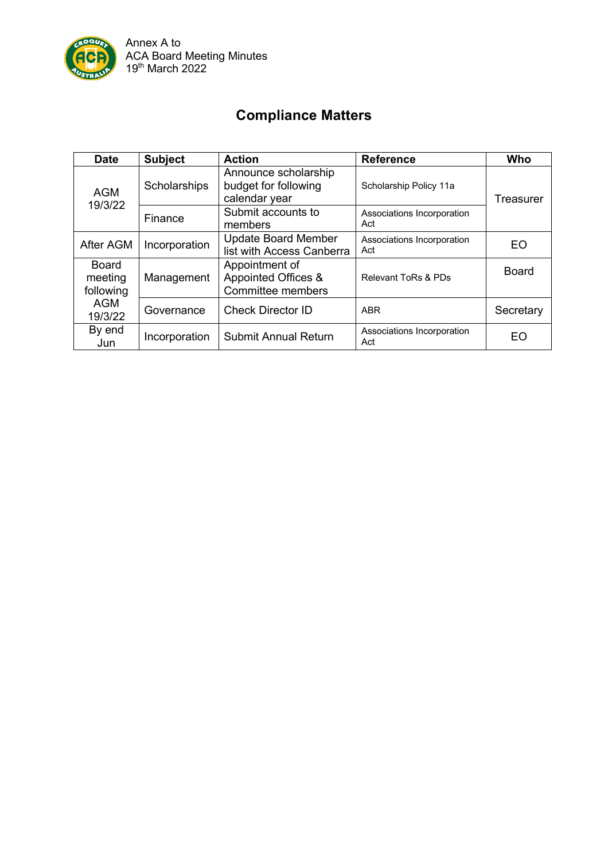

# **Compliance Matters**

| <b>Date</b>                                                   | <b>Subject</b> | <b>Action</b>                                                 | <b>Reference</b>                  | Who          |
|---------------------------------------------------------------|----------------|---------------------------------------------------------------|-----------------------------------|--------------|
| <b>AGM</b><br>19/3/22                                         | Scholarships   | Announce scholarship<br>budget for following<br>calendar year | Scholarship Policy 11a            | Treasurer    |
|                                                               | Finance        | Submit accounts to<br>members                                 | Associations Incorporation<br>Act |              |
| After AGM                                                     | Incorporation  | <b>Update Board Member</b><br>list with Access Canberra       | Associations Incorporation<br>Act | EO           |
| <b>Board</b><br>meeting<br>following<br><b>AGM</b><br>19/3/22 | Management     | Appointment of<br>Appointed Offices &<br>Committee members    | Relevant ToRs & PDs               | <b>Board</b> |
|                                                               | Governance     | <b>Check Director ID</b>                                      | <b>ABR</b>                        | Secretary    |
| By end<br>Jun                                                 | Incorporation  | <b>Submit Annual Return</b>                                   | Associations Incorporation<br>Act | EO           |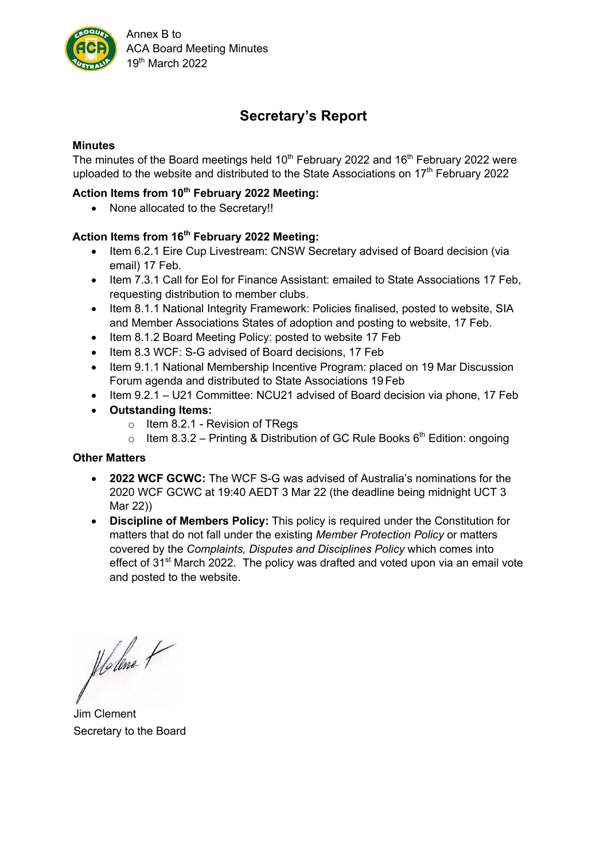

# **Secretary's Report**

### **Minutes**

The minutes of the Board meetings held  $10<sup>th</sup>$  February 2022 and  $16<sup>th</sup>$  February 2022 were uploaded to the website and distributed to the State Associations on 17<sup>th</sup> February 2022

### **Action Items from 10th February 2022 Meeting:**

• None allocated to the Secretary!!

## **Action Items from 16th February 2022 Meeting:**

- Item 6.2.1 Eire Cup Livestream: CNSW Secretary advised of Board decision (via email) 17 Feb.
- Item 7.3.1 Call for EoI for Finance Assistant: emailed to State Associations 17 Feb, requesting distribution to member clubs.
- Item 8.1.1 National Integrity Framework: Policies finalised, posted to website, SIA and Member Associations States of adoption and posting to website, 17 Feb.
- Item 8.1.2 Board Meeting Policy: posted to website 17 Feb
- Item 8.3 WCF: S-G advised of Board decisions, 17 Feb
- Item 9.1.1 National Membership Incentive Program: placed on 19 Mar Discussion Forum agenda and distributed to State Associations 19 Feb
- Item 9.2.1 U21 Committee: NCU21 advised of Board decision via phone, 17 Feb
- **Outstanding Items:**
	- $\circ$  Item 8.2.1 Revision of TRegs
	- o Item 8.3.2 Printing & Distribution of GC Rule Books  $6<sup>th</sup>$  Edition: ongoing

### **Other Matters**

- **2022 WCF GCWC:** The WCF S-G was advised of Australia's nominations for the 2020 WCF GCWC at 19:40 AEDT 3 Mar 22 (the deadline being midnight UCT 3 Mar 22))
- **Discipline of Members Policy:** This policy is required under the Constitution for matters that do not fall under the existing *Member Protection Policy* or matters covered by the *Complaints, Disputes and Disciplines Policy* which comes into effect of 31<sup>st</sup> March 2022. The policy was drafted and voted upon via an email vote and posted to the website.

Holene +

Jim Clement Secretary to the Board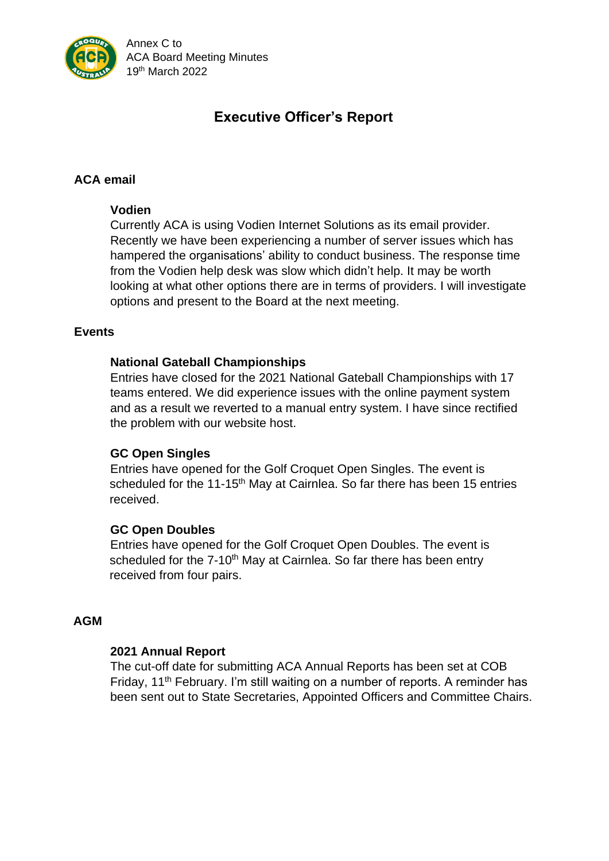

Annex C to ACA Board Meeting Minutes 19 th March 2022

# **Executive Officer's Report**

# **ACA email**

### **Vodien**

Currently ACA is using Vodien Internet Solutions as its email provider. Recently we have been experiencing a number of server issues which has hampered the organisations' ability to conduct business. The response time from the Vodien help desk was slow which didn't help. It may be worth looking at what other options there are in terms of providers. I will investigate options and present to the Board at the next meeting.

### **Events**

### **National Gateball Championships**

Entries have closed for the 2021 National Gateball Championships with 17 teams entered. We did experience issues with the online payment system and as a result we reverted to a manual entry system. I have since rectified the problem with our website host.

### **GC Open Singles**

Entries have opened for the Golf Croquet Open Singles. The event is scheduled for the 11-15<sup>th</sup> May at Cairnlea. So far there has been 15 entries received.

### **GC Open Doubles**

Entries have opened for the Golf Croquet Open Doubles. The event is scheduled for the 7-10<sup>th</sup> May at Cairnlea. So far there has been entry received from four pairs.

### **AGM**

### **2021 Annual Report**

The cut-off date for submitting ACA Annual Reports has been set at COB Friday, 11<sup>th</sup> February. I'm still waiting on a number of reports. A reminder has been sent out to State Secretaries, Appointed Officers and Committee Chairs.